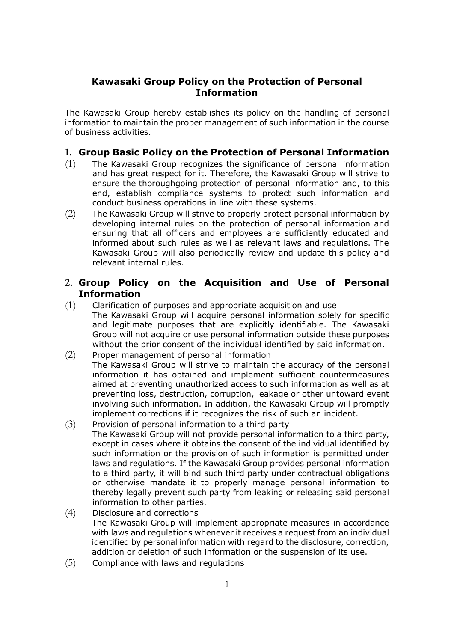## **Kawasaki Group Policy on the Protection of Personal Information**

The Kawasaki Group hereby establishes its policy on the handling of personal information to maintain the proper management of such information in the course of business activities.

## **1. Group Basic Policy on the Protection of Personal Information**

- (1) The Kawasaki Group recognizes the significance of personal information and has great respect for it. Therefore, the Kawasaki Group will strive to ensure the thoroughgoing protection of personal information and, to this end, establish compliance systems to protect such information and conduct business operations in line with these systems.
- (2) The Kawasaki Group will strive to properly protect personal information by developing internal rules on the protection of personal information and ensuring that all officers and employees are sufficiently educated and informed about such rules as well as relevant laws and regulations. The Kawasaki Group will also periodically review and update this policy and relevant internal rules.

## **2. Group Policy on the Acquisition and Use of Personal Information**

- (1) Clarification of purposes and appropriate acquisition and use The Kawasaki Group will acquire personal information solely for specific and legitimate purposes that are explicitly identifiable. The Kawasaki Group will not acquire or use personal information outside these purposes without the prior consent of the individual identified by said information.
- (2) Proper management of personal information The Kawasaki Group will strive to maintain the accuracy of the personal information it has obtained and implement sufficient countermeasures aimed at preventing unauthorized access to such information as well as at preventing loss, destruction, corruption, leakage or other untoward event involving such information. In addition, the Kawasaki Group will promptly implement corrections if it recognizes the risk of such an incident.
- (3) Provision of personal information to a third party The Kawasaki Group will not provide personal information to a third party, except in cases where it obtains the consent of the individual identified by such information or the provision of such information is permitted under laws and regulations. If the Kawasaki Group provides personal information to a third party, it will bind such third party under contractual obligations or otherwise mandate it to properly manage personal information to thereby legally prevent such party from leaking or releasing said personal information to other parties.
- (4) Disclosure and corrections The Kawasaki Group will implement appropriate measures in accordance with laws and regulations whenever it receives a request from an individual identified by personal information with regard to the disclosure, correction, addition or deletion of such information or the suspension of its use.
- (5) Compliance with laws and regulations